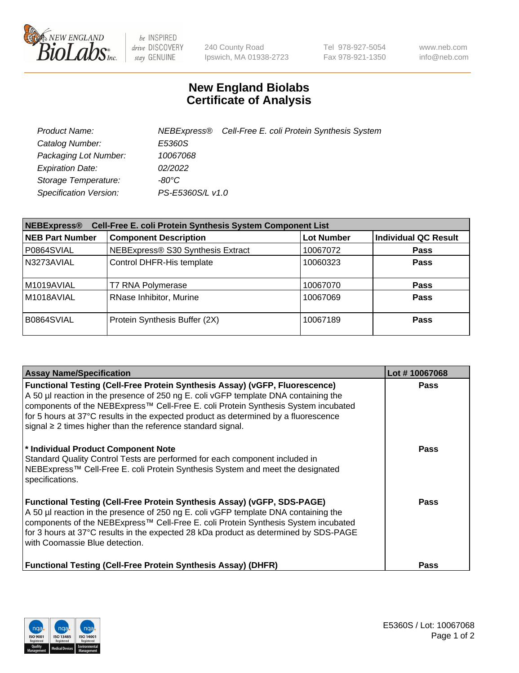

be INSPIRED drive DISCOVERY stay GENUINE

240 County Road Ipswich, MA 01938-2723 Tel 978-927-5054 Fax 978-921-1350 www.neb.com info@neb.com

## **New England Biolabs Certificate of Analysis**

| Product Name:           |                  | NEBExpress® Cell-Free E. coli Protein Synthesis System |
|-------------------------|------------------|--------------------------------------------------------|
| Catalog Number:         | E5360S           |                                                        |
| Packaging Lot Number:   | 10067068         |                                                        |
| <b>Expiration Date:</b> | 02/2022          |                                                        |
| Storage Temperature:    | $-80^{\circ}$ C  |                                                        |
| Specification Version:  | PS-E5360S/L v1.0 |                                                        |

| Cell-Free E. coli Protein Synthesis System Component List<br><b>NEBExpress®</b> |                                   |                   |                             |  |
|---------------------------------------------------------------------------------|-----------------------------------|-------------------|-----------------------------|--|
| <b>NEB Part Number</b>                                                          | <b>Component Description</b>      | <b>Lot Number</b> | <b>Individual QC Result</b> |  |
| P0864SVIAL                                                                      | NEBExpress® S30 Synthesis Extract | 10067072          | <b>Pass</b>                 |  |
| N3273AVIAL                                                                      | Control DHFR-His template         | 10060323          | <b>Pass</b>                 |  |
| M1019AVIAL                                                                      | T7 RNA Polymerase                 | 10067070          | <b>Pass</b>                 |  |
| M1018AVIAL                                                                      | RNase Inhibitor, Murine           | 10067069          | <b>Pass</b>                 |  |
| B0864SVIAL                                                                      | Protein Synthesis Buffer (2X)     | 10067189          | <b>Pass</b>                 |  |

| <b>Assay Name/Specification</b>                                                                                                                                                                                                                                                                                                                                                                                            | Lot #10067068 |
|----------------------------------------------------------------------------------------------------------------------------------------------------------------------------------------------------------------------------------------------------------------------------------------------------------------------------------------------------------------------------------------------------------------------------|---------------|
| <b>Functional Testing (Cell-Free Protein Synthesis Assay) (vGFP, Fluorescence)</b><br>A 50 µl reaction in the presence of 250 ng E. coli vGFP template DNA containing the<br>components of the NEBExpress™ Cell-Free E. coli Protein Synthesis System incubated<br>for 5 hours at 37°C results in the expected product as determined by a fluorescence<br>signal $\geq$ 2 times higher than the reference standard signal. | <b>Pass</b>   |
| * Individual Product Component Note<br>Standard Quality Control Tests are performed for each component included in<br>NEBExpress™ Cell-Free E. coli Protein Synthesis System and meet the designated<br>specifications.                                                                                                                                                                                                    | <b>Pass</b>   |
| <b>Functional Testing (Cell-Free Protein Synthesis Assay) (vGFP, SDS-PAGE)</b><br>A 50 µl reaction in the presence of 250 ng E. coli vGFP template DNA containing the<br>components of the NEBExpress™ Cell-Free E. coli Protein Synthesis System incubated<br>for 3 hours at 37°C results in the expected 28 kDa product as determined by SDS-PAGE<br>with Coomassie Blue detection.                                      | <b>Pass</b>   |
| <b>Functional Testing (Cell-Free Protein Synthesis Assay) (DHFR)</b>                                                                                                                                                                                                                                                                                                                                                       | Pass          |